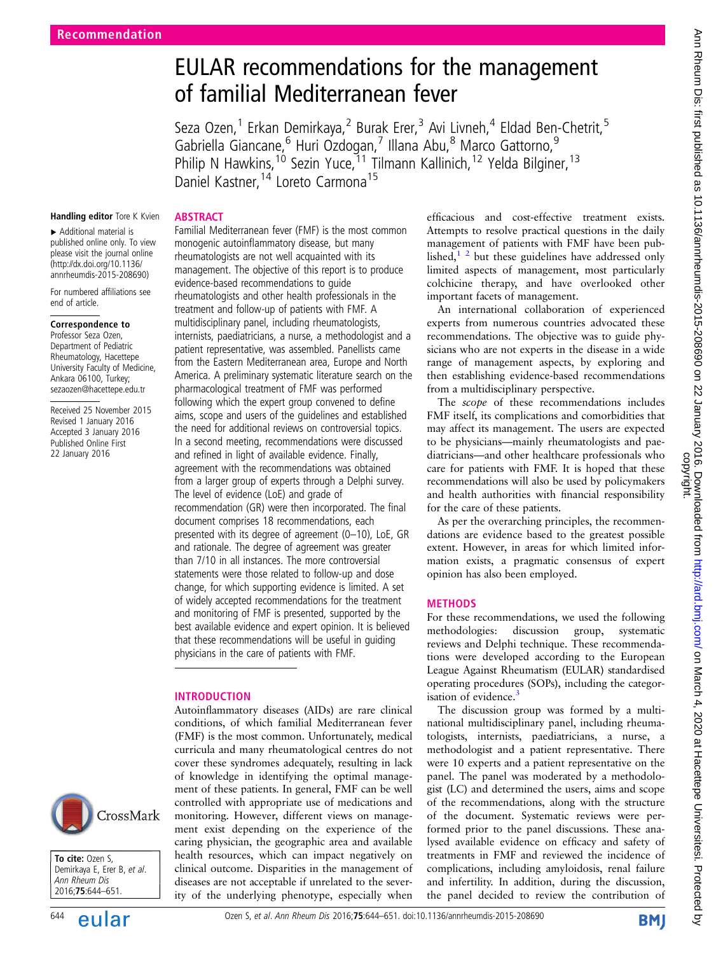# EULAR recommendations for the management of familial Mediterranean fever

Seza Ozen,<sup>1</sup> Erkan Demirkaya,<sup>2</sup> Burak Erer,<sup>3</sup> Avi Livneh,<sup>4</sup> Eldad Ben-Chetrit,<sup>5</sup> Gabriella Giancane, <sup>6</sup> Huri Ozdogan, <sup>7</sup> Illana Abu, <sup>8</sup> Marco Gattorno, <sup>9</sup> Philip N Hawkins,<sup>10</sup> Sezin Yuce, <sup>11</sup> Tilmann Kallinich, <sup>12</sup> Yelda Bilginer, <sup>13</sup> Daniel Kastner, <sup>14</sup> Loreto Carmona<sup>15</sup>

#### Handling editor Tore K Kvien

**ABSTRACT** 

▸ Additional material is published online only. To view please visit the journal online [\(http://dx.doi.org/10.1136/](http://dx.doi.org/10.1136/annrheumdis-2015-208690) [annrheumdis-2015-208690\)](http://dx.doi.org/10.1136/annrheumdis-2015-208690)

For numbered affiliations see end of article.

## Correspondence to

Professor Seza Ozen, Department of Pediatric Rheumatology, Hacettepe University Faculty of Medicine, Ankara 06100, Turkey; sezaozen@hacettepe.edu.tr

Received 25 November 2015 Revised 1 January 2016 Accepted 3 January 2016 Published Online First 22 January 2016

Familial Mediterranean fever (FMF) is the most common monogenic autoinflammatory disease, but many rheumatologists are not well acquainted with its management. The objective of this report is to produce evidence-based recommendations to guide rheumatologists and other health professionals in the treatment and follow-up of patients with FMF. A multidisciplinary panel, including rheumatologists, internists, paediatricians, a nurse, a methodologist and a patient representative, was assembled. Panellists came from the Eastern Mediterranean area, Europe and North America. A preliminary systematic literature search on the pharmacological treatment of FMF was performed following which the expert group convened to define aims, scope and users of the guidelines and established the need for additional reviews on controversial topics. In a second meeting, recommendations were discussed and refined in light of available evidence. Finally, agreement with the recommendations was obtained from a larger group of experts through a Delphi survey. The level of evidence (LoE) and grade of recommendation (GR) were then incorporated. The final document comprises 18 recommendations, each presented with its degree of agreement (0–10), LoE, GR and rationale. The degree of agreement was greater than 7/10 in all instances. The more controversial statements were those related to follow-up and dose change, for which supporting evidence is limited. A set of widely accepted recommendations for the treatment and monitoring of FMF is presented, supported by the best available evidence and expert opinion. It is believed that these recommendations will be useful in guiding physicians in the care of patients with FMF.

## INTRODUCTION

Autoinflammatory diseases (AIDs) are rare clinical conditions, of which familial Mediterranean fever (FMF) is the most common. Unfortunately, medical curricula and many rheumatological centres do not cover these syndromes adequately, resulting in lack of knowledge in identifying the optimal management of these patients. In general, FMF can be well controlled with appropriate use of medications and monitoring. However, different views on management exist depending on the experience of the caring physician, the geographic area and available health resources, which can impact negatively on clinical outcome. Disparities in the management of diseases are not acceptable if unrelated to the severity of the underlying phenotype, especially when efficacious and cost-effective treatment exists. Attempts to resolve practical questions in the daily management of patients with FMF have been published, $1^2$  but these guidelines have addressed only limited aspects of management, most particularly colchicine therapy, and have overlooked other important facets of management.

An international collaboration of experienced experts from numerous countries advocated these recommendations. The objective was to guide physicians who are not experts in the disease in a wide range of management aspects, by exploring and then establishing evidence-based recommendations from a multidisciplinary perspective.

The *scope* of these recommendations includes FMF itself, its complications and comorbidities that may affect its management. The users are expected to be physicians—mainly rheumatologists and paediatricians—and other healthcare professionals who care for patients with FMF. It is hoped that these recommendations will also be used by policymakers and health authorities with financial responsibility for the care of these patients.

As per the overarching principles, the recommendations are evidence based to the greatest possible extent. However, in areas for which limited information exists, a pragmatic consensus of expert opinion has also been employed.

## **METHODS**

For these recommendations, we used the following methodologies: discussion group, systematic reviews and Delphi technique. These recommendations were developed according to the European League Against Rheumatism (EULAR) standardised operating procedures (SOPs), including the categorisation of evidence.<sup>3</sup>

The discussion group was formed by a multinational multidisciplinary panel, including rheumatologists, internists, paediatricians, a nurse, a methodologist and a patient representative. There were 10 experts and a patient representative on the panel. The panel was moderated by a methodologist (LC) and determined the users, aims and scope of the recommendations, along with the structure of the document. Systematic reviews were performed prior to the panel discussions. These analysed available evidence on efficacy and safety of treatments in FMF and reviewed the incidence of complications, including amyloidosis, renal failure and infertility. In addition, during the discussion, the panel decided to review the contribution of



To cite: Ozen S, Demirkaya E, Erer B, et al. Ann Rheum Dis 2016;75:644–651.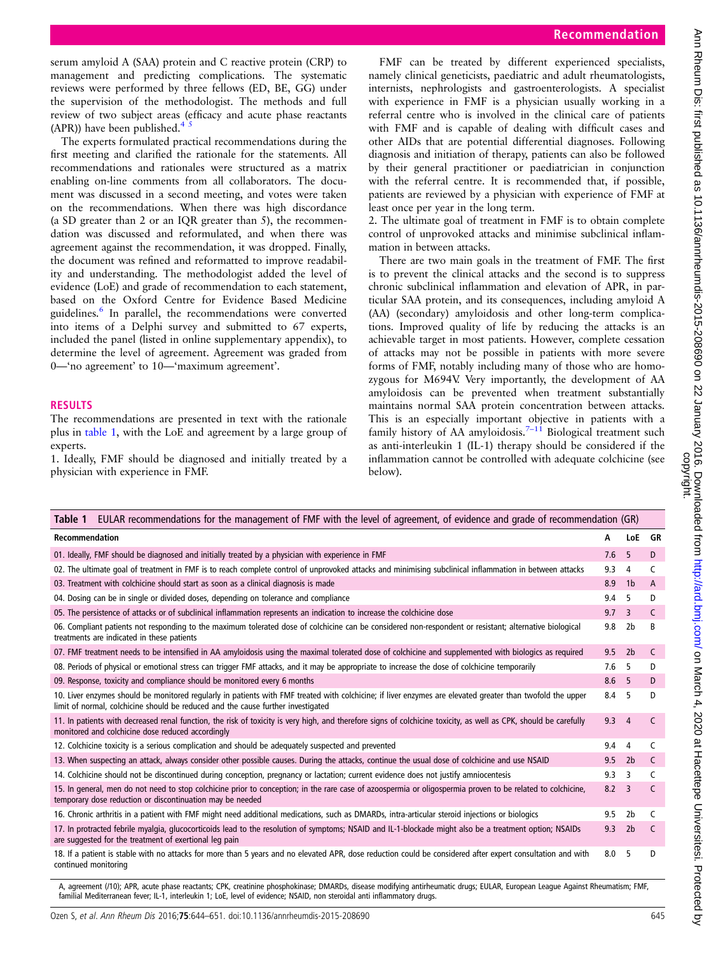serum amyloid A (SAA) protein and C reactive protein (CRP) to management and predicting complications. The systematic reviews were performed by three fellows (ED, BE, GG) under the supervision of the methodologist. The methods and full review of two subject areas (efficacy and acute phase reactants (APR)) have been published. $4$ 

The experts formulated practical recommendations during the first meeting and clarified the rationale for the statements. All recommendations and rationales were structured as a matrix enabling on-line comments from all collaborators. The document was discussed in a second meeting, and votes were taken on the recommendations. When there was high discordance (a SD greater than 2 or an IQR greater than 5), the recommendation was discussed and reformulated, and when there was agreement against the recommendation, it was dropped. Finally, the document was refined and reformatted to improve readability and understanding. The methodologist added the level of evidence (LoE) and grade of recommendation to each statement, based on the Oxford Centre for Evidence Based Medicine guidelines.[6](#page-6-0) In parallel, the recommendations were converted into items of a Delphi survey and submitted to 67 experts, included the panel (listed in online supplementary appendix), to determine the level of agreement. Agreement was graded from 0—'no agreement' to 10—'maximum agreement'.

## RESULTS

The recommendations are presented in text with the rationale plus in table 1, with the LoE and agreement by a large group of experts.

1. Ideally, FMF should be diagnosed and initially treated by a physician with experience in FMF.

FMF can be treated by different experienced specialists, namely clinical geneticists, paediatric and adult rheumatologists, internists, nephrologists and gastroenterologists. A specialist with experience in FMF is a physician usually working in a referral centre who is involved in the clinical care of patients with FMF and is capable of dealing with difficult cases and other AIDs that are potential differential diagnoses. Following diagnosis and initiation of therapy, patients can also be followed by their general practitioner or paediatrician in conjunction with the referral centre. It is recommended that, if possible, patients are reviewed by a physician with experience of FMF at least once per year in the long term.

2. The ultimate goal of treatment in FMF is to obtain complete control of unprovoked attacks and minimise subclinical inflammation in between attacks.

There are two main goals in the treatment of FMF. The first is to prevent the clinical attacks and the second is to suppress chronic subclinical inflammation and elevation of APR, in particular SAA protein, and its consequences, including amyloid A (AA) (secondary) amyloidosis and other long-term complications. Improved quality of life by reducing the attacks is an achievable target in most patients. However, complete cessation of attacks may not be possible in patients with more severe forms of FMF, notably including many of those who are homozygous for M694V. Very importantly, the development of AA amyloidosis can be prevented when treatment substantially maintains normal SAA protein concentration between attacks. This is an especially important objective in patients with a family history of AA amyloidosis.<sup>7-[11](#page-6-0)</sup> Biological treatment such as anti-interleukin 1 (IL-1) therapy should be considered if the inflammation cannot be controlled with adequate colchicine (see below).

| EULAR recommendations for the management of FMF with the level of agreement, of evidence and grade of recommendation (GR)<br>Table 1                                                                                                           |               |                |    |
|------------------------------------------------------------------------------------------------------------------------------------------------------------------------------------------------------------------------------------------------|---------------|----------------|----|
| Recommendation                                                                                                                                                                                                                                 | А             | LoE            | GR |
| 01. Ideally, FMF should be diagnosed and initially treated by a physician with experience in FMF                                                                                                                                               | 7.6           | 5              | D  |
| 02. The ultimate goal of treatment in FMF is to reach complete control of unprovoked attacks and minimising subclinical inflammation in between attacks                                                                                        | 9.3           | $\overline{4}$ | C  |
| 03. Treatment with colchicine should start as soon as a clinical diagnosis is made                                                                                                                                                             | 8.9           | 1 <sub>b</sub> | A  |
| 04. Dosing can be in single or divided doses, depending on tolerance and compliance                                                                                                                                                            | 9.4           | 5              | D  |
| 05. The persistence of attacks or of subclinical inflammation represents an indication to increase the colchicine dose                                                                                                                         | 9.7           | 3              | C  |
| 06. Compliant patients not responding to the maximum tolerated dose of colchicine can be considered non-respondent or resistant; alternative biological<br>treatments are indicated in these patients                                          | 9.8           | 2b             | B  |
| 07. FMF treatment needs to be intensified in AA amyloidosis using the maximal tolerated dose of colchicine and supplemented with biologics as required                                                                                         | 9.5           | 2 <sub>b</sub> | C  |
| 08. Periods of physical or emotional stress can trigger FMF attacks, and it may be appropriate to increase the dose of colchicine temporarily                                                                                                  | 7.6           | 5              | D  |
| 09. Response, toxicity and compliance should be monitored every 6 months                                                                                                                                                                       | 8.6           | -5             | D  |
| 10. Liver enzymes should be monitored regularly in patients with FMF treated with colchicine; if liver enzymes are elevated greater than twofold the upper<br>limit of normal, colchicine should be reduced and the cause further investigated | 8.4           | -5             | D  |
| 11. In patients with decreased renal function, the risk of toxicity is very high, and therefore signs of colchicine toxicity, as well as CPK, should be carefully<br>monitored and colchicine dose reduced accordingly                         | 9.3           | $\overline{4}$ | C  |
| 12. Colchicine toxicity is a serious complication and should be adequately suspected and prevented                                                                                                                                             | 9.4           | 4              | C  |
| 13. When suspecting an attack, always consider other possible causes. During the attacks, continue the usual dose of colchicine and use NSAID                                                                                                  | 9.5           | 2 <sub>b</sub> | C  |
| 14. Colchicine should not be discontinued during conception, pregnancy or lactation; current evidence does not justify amniocentesis                                                                                                           | 9.3           | 3              | C  |
| 15. In general, men do not need to stop colchicine prior to conception; in the rare case of azoospermia or oligospermia proven to be related to colchicine,<br>temporary dose reduction or discontinuation may be needed                       | $8.2 \quad 3$ |                | C  |
| 16. Chronic arthritis in a patient with FMF might need additional medications, such as DMARDs, intra-articular steroid injections or biologics                                                                                                 | 9.5           | 2b             | C  |
| 17. In protracted febrile myalgia, glucocorticoids lead to the resolution of symptoms; NSAID and IL-1-blockade might also be a treatment option; NSAIDs<br>are suggested for the treatment of exertional leg pain                              | 9.3           | 2 <sub>b</sub> | C  |
| 18. If a patient is stable with no attacks for more than 5 years and no elevated APR, dose reduction could be considered after expert consultation and with<br>continued monitoring                                                            | 8.0           | -5             | D  |
| A agrooment ((10): APP acute phase reactants: CPK creatining phasphokinase: DMAPDs disease modifiung antishoumatic drugs: EULAP European League Against Phoumatism: EME                                                                        |               |                |    |

A, agreement (/10); APR, acute phase reactants; CPK, creatinine phosphokinase; DMARDs, disease modifying antirheumatic drugs; EULAR, European League Against Rheumatism; FMF, familial Mediterranean fever; IL-1, interleukin 1; LoE, level of evidence; NSAID, non steroidal anti inflammatory drugs.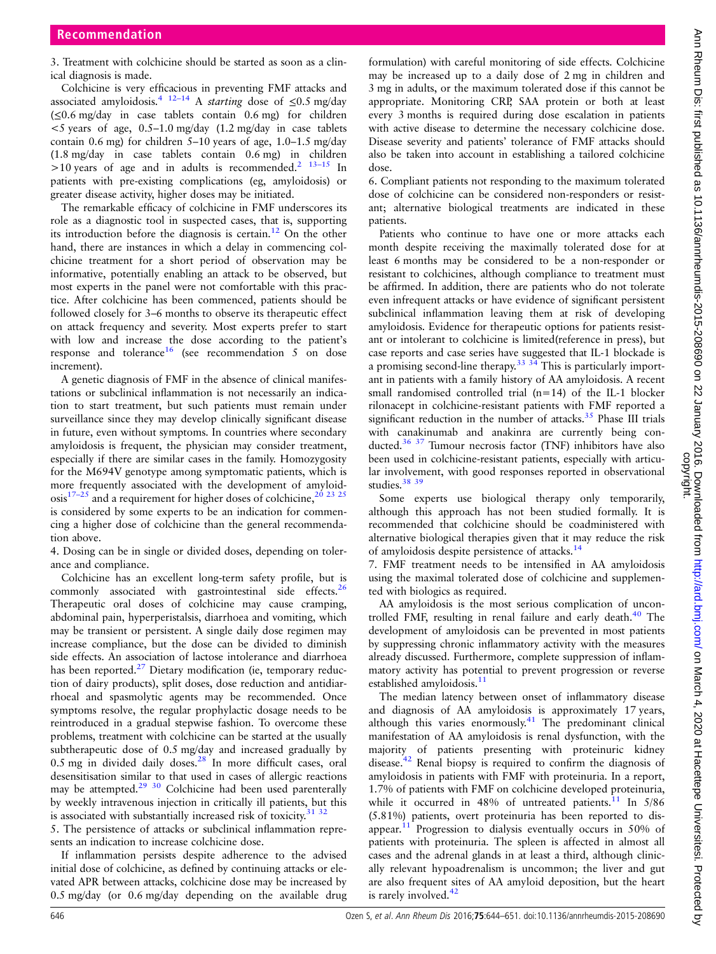3. Treatment with colchicine should be started as soon as a clinical diagnosis is made.

Colchicine is very efficacious in preventing FMF attacks and associated amyloidosis.<sup>[4](#page-6-0)</sup> <sup>12–[14](#page-6-0)</sup> A *starting* dose of  $\leq$ 0.5 mg/day (≤0.6 mg/day in case tablets contain 0.6 mg) for children <5 years of age, 0.5–1.0 mg/day (1.2 mg/day in case tablets contain 0.6 mg) for children 5–10 years of age, 1.0–1.5 mg/day (1.8 mg/day in case tablets contain 0.6 mg) in children  $>10$  years of age and in adults is recommended.<sup>2</sup> <sup>13-15</sup> In patients with pre-existing complications (eg, amyloidosis) or greater disease activity, higher doses may be initiated.

The remarkable efficacy of colchicine in FMF underscores its role as a diagnostic tool in suspected cases, that is, supporting its introduction before the diagnosis is certain[.12](#page-6-0) On the other hand, there are instances in which a delay in commencing colchicine treatment for a short period of observation may be informative, potentially enabling an attack to be observed, but most experts in the panel were not comfortable with this practice. After colchicine has been commenced, patients should be followed closely for 3–6 months to observe its therapeutic effect on attack frequency and severity. Most experts prefer to start with low and increase the dose according to the patient's response and tolerance<sup>16</sup> (see recommendation 5 on dose increment).

A genetic diagnosis of FMF in the absence of clinical manifestations or subclinical inflammation is not necessarily an indication to start treatment, but such patients must remain under surveillance since they may develop clinically significant disease in future, even without symptoms. In countries where secondary amyloidosis is frequent, the physician may consider treatment, especially if there are similar cases in the family. Homozygosity for the M694V genotype among symptomatic patients, which is more frequently associated with the development of amyloid- $\cos^{-17-25}$  $\cos^{-17-25}$  $\cos^{-17-25}$  and a requirement for higher doses of colchicine,<sup>[20 23 25](#page-6-0)</sup> is considered by some experts to be an indication for commencing a higher dose of colchicine than the general recommendation above.

4. Dosing can be in single or divided doses, depending on tolerance and compliance.

Colchicine has an excellent long-term safety profile, but is commonly associated with gastrointestinal side effects. $26$ Therapeutic oral doses of colchicine may cause cramping, abdominal pain, hyperperistalsis, diarrhoea and vomiting, which may be transient or persistent. A single daily dose regimen may increase compliance, but the dose can be divided to diminish side effects. An association of lactose intolerance and diarrhoea has been reported. $^{27}$  $^{27}$  $^{27}$  Dietary modification (ie, temporary reduction of dairy products), split doses, dose reduction and antidiarrhoeal and spasmolytic agents may be recommended. Once symptoms resolve, the regular prophylactic dosage needs to be reintroduced in a gradual stepwise fashion. To overcome these problems, treatment with colchicine can be started at the usually subtherapeutic dose of 0.5 mg/day and increased gradually by 0.5 mg in divided daily doses[.28](#page-6-0) In more difficult cases, oral desensitisation similar to that used in cases of allergic reactions may be attempted.<sup>29</sup> <sup>30</sup> Colchicine had been used parenterally by weekly intravenous injection in critically ill patients, but this is associated with substantially increased risk of toxicity. $3132$ 

5. The persistence of attacks or subclinical inflammation represents an indication to increase colchicine dose.

If inflammation persists despite adherence to the advised initial dose of colchicine, as defined by continuing attacks or elevated APR between attacks, colchicine dose may be increased by 0.5 mg/day (or 0.6 mg/day depending on the available drug

formulation) with careful monitoring of side effects. Colchicine may be increased up to a daily dose of 2 mg in children and 3 mg in adults, or the maximum tolerated dose if this cannot be appropriate. Monitoring CRP, SAA protein or both at least every 3 months is required during dose escalation in patients with active disease to determine the necessary colchicine dose. Disease severity and patients' tolerance of FMF attacks should also be taken into account in establishing a tailored colchicine dose.

6. Compliant patients not responding to the maximum tolerated dose of colchicine can be considered non-responders or resistant; alternative biological treatments are indicated in these patients.

Patients who continue to have one or more attacks each month despite receiving the maximally tolerated dose for at least 6 months may be considered to be a non-responder or resistant to colchicines, although compliance to treatment must be affirmed. In addition, there are patients who do not tolerate even infrequent attacks or have evidence of significant persistent subclinical inflammation leaving them at risk of developing amyloidosis. Evidence for therapeutic options for patients resistant or intolerant to colchicine is limited(reference in press), but case reports and case series have suggested that IL-1 blockade is a promising second-line therapy. $33 \frac{34}{1}$  This is particularly important in patients with a family history of AA amyloidosis. A recent small randomised controlled trial (n=14) of the IL-1 blocker rilonacept in colchicine-resistant patients with FMF reported a significant reduction in the number of attacks.<sup>[35](#page-6-0)</sup> Phase III trials with canakinumab and anakinra are currently being con-ducted.<sup>[36 37](#page-6-0)</sup> Tumour necrosis factor (TNF) inhibitors have also been used in colchicine-resistant patients, especially with articular involvement, with good responses reported in observational studies.<sup>38</sup> 39

Some experts use biological therapy only temporarily, although this approach has not been studied formally. It is recommended that colchicine should be coadministered with alternative biological therapies given that it may reduce the risk of amyloidosis despite persistence of attacks.[14](#page-6-0)

7. FMF treatment needs to be intensified in AA amyloidosis using the maximal tolerated dose of colchicine and supplemented with biologics as required.

AA amyloidosis is the most serious complication of uncontrolled FMF, resulting in renal failure and early death. $40$  The development of amyloidosis can be prevented in most patients by suppressing chronic inflammatory activity with the measures already discussed. Furthermore, complete suppression of inflammatory activity has potential to prevent progression or reverse established amyloidosis. $11$ 

The median latency between onset of inflammatory disease and diagnosis of AA amyloidosis is approximately 17 years, although this varies enormously.<sup>[41](#page-6-0)</sup> The predominant clinical manifestation of AA amyloidosis is renal dysfunction, with the majority of patients presenting with proteinuric kidney disease.<sup>42</sup> Renal biopsy is required to confirm the diagnosis of amyloidosis in patients with FMF with proteinuria. In a report, 1.7% of patients with FMF on colchicine developed proteinuria, while it occurred in  $48\%$  of untreated patients.<sup>[11](#page-6-0)</sup> In  $5/86$ (5.81%) patients, overt proteinuria has been reported to dis-appear.<sup>[11](#page-6-0)</sup> Progression to dialysis eventually occurs in 50% of patients with proteinuria. The spleen is affected in almost all cases and the adrenal glands in at least a third, although clinically relevant hypoadrenalism is uncommon; the liver and gut are also frequent sites of AA amyloid deposition, but the heart is rarely involved.<sup>42</sup>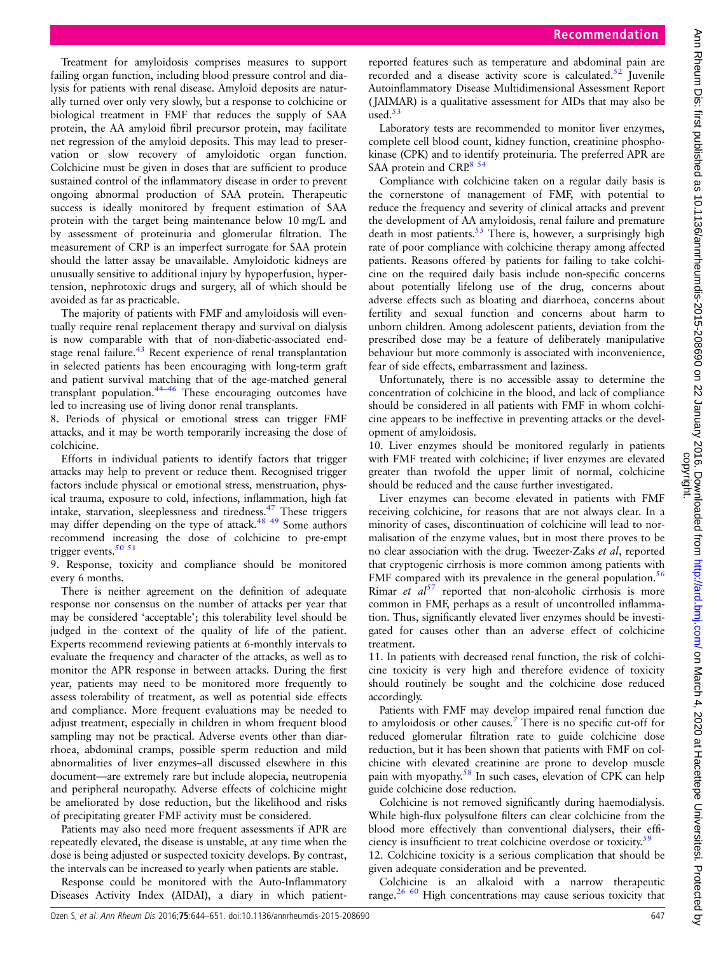Treatment for amyloidosis comprises measures to support failing organ function, including blood pressure control and dialysis for patients with renal disease. Amyloid deposits are naturally turned over only very slowly, but a response to colchicine or biological treatment in FMF that reduces the supply of SAA protein, the AA amyloid fibril precursor protein, may facilitate net regression of the amyloid deposits. This may lead to preservation or slow recovery of amyloidotic organ function. Colchicine must be given in doses that are sufficient to produce sustained control of the inflammatory disease in order to prevent ongoing abnormal production of SAA protein. Therapeutic success is ideally monitored by frequent estimation of SAA protein with the target being maintenance below 10 mg/L and by assessment of proteinuria and glomerular filtration. The measurement of CRP is an imperfect surrogate for SAA protein should the latter assay be unavailable. Amyloidotic kidneys are unusually sensitive to additional injury by hypoperfusion, hypertension, nephrotoxic drugs and surgery, all of which should be avoided as far as practicable.

The majority of patients with FMF and amyloidosis will eventually require renal replacement therapy and survival on dialysis is now comparable with that of non-diabetic-associated end-stage renal failure.<sup>[43](#page-6-0)</sup> Recent experience of renal transplantation in selected patients has been encouraging with long-term graft and patient survival matching that of the age-matched general transplant population.44–[46](#page-6-0) These encouraging outcomes have led to increasing use of living donor renal transplants.

8. Periods of physical or emotional stress can trigger FMF attacks, and it may be worth temporarily increasing the dose of colchicine.

Efforts in individual patients to identify factors that trigger attacks may help to prevent or reduce them. Recognised trigger factors include physical or emotional stress, menstruation, physical trauma, exposure to cold, infections, inflammation, high fat intake, starvation, sleeplessness and tiredness. $\frac{47}{1}$  $\frac{47}{1}$  $\frac{47}{1}$  These triggers may differ depending on the type of attack.<sup>48</sup> 49 Some authors recommend increasing the dose of colchicine to pre-empt trigger events.<sup>[50 51](#page-7-0)</sup>

9. Response, toxicity and compliance should be monitored every 6 months.

There is neither agreement on the definition of adequate response nor consensus on the number of attacks per year that may be considered 'acceptable'; this tolerability level should be judged in the context of the quality of life of the patient. Experts recommend reviewing patients at 6-monthly intervals to evaluate the frequency and character of the attacks, as well as to monitor the APR response in between attacks. During the first year, patients may need to be monitored more frequently to assess tolerability of treatment, as well as potential side effects and compliance. More frequent evaluations may be needed to adjust treatment, especially in children in whom frequent blood sampling may not be practical. Adverse events other than diarrhoea, abdominal cramps, possible sperm reduction and mild abnormalities of liver enzymes–all discussed elsewhere in this document—are extremely rare but include alopecia, neutropenia and peripheral neuropathy. Adverse effects of colchicine might be ameliorated by dose reduction, but the likelihood and risks of precipitating greater FMF activity must be considered.

Patients may also need more frequent assessments if APR are repeatedly elevated, the disease is unstable, at any time when the dose is being adjusted or suspected toxicity develops. By contrast, the intervals can be increased to yearly when patients are stable.

Response could be monitored with the Auto-Inflammatory Diseases Activity Index (AIDAI), a diary in which patient-

reported features such as temperature and abdominal pain are recorded and a disease activity score is calculated.<sup>[52](#page-7-0)</sup> Juvenile Autoinflammatory Disease Multidimensional Assessment Report ( JAIMAR) is a qualitative assessment for AIDs that may also be used. $53$ 

Laboratory tests are recommended to monitor liver enzymes, complete cell blood count, kidney function, creatinine phosphokinase (CPK) and to identify proteinuria. The preferred APR are SAA protein and CRP<sup>[8](#page-6-0) [54](#page-7-0)</sup>

Compliance with colchicine taken on a regular daily basis is the cornerstone of management of FMF, with potential to reduce the frequency and severity of clinical attacks and prevent the development of AA amyloidosis, renal failure and premature death in most patients.<sup>55</sup> There is, however, a surprisingly high rate of poor compliance with colchicine therapy among affected patients. Reasons offered by patients for failing to take colchicine on the required daily basis include non-specific concerns about potentially lifelong use of the drug, concerns about adverse effects such as bloating and diarrhoea, concerns about fertility and sexual function and concerns about harm to unborn children. Among adolescent patients, deviation from the prescribed dose may be a feature of deliberately manipulative behaviour but more commonly is associated with inconvenience, fear of side effects, embarrassment and laziness.

Unfortunately, there is no accessible assay to determine the concentration of colchicine in the blood, and lack of compliance should be considered in all patients with FMF in whom colchicine appears to be ineffective in preventing attacks or the development of amyloidosis.

10. Liver enzymes should be monitored regularly in patients with FMF treated with colchicine; if liver enzymes are elevated greater than twofold the upper limit of normal, colchicine should be reduced and the cause further investigated.

Liver enzymes can become elevated in patients with FMF receiving colchicine, for reasons that are not always clear. In a minority of cases, discontinuation of colchicine will lead to normalisation of the enzyme values, but in most there proves to be no clear association with the drug. Tweezer-Zaks et al, reported that cryptogenic cirrhosis is more common among patients with FMF compared with its prevalence in the general population.<sup>[56](#page-7-0)</sup> Rimar et  $aI^{57}$  $aI^{57}$  $aI^{57}$  reported that non-alcoholic cirrhosis is more common in FMF, perhaps as a result of uncontrolled inflammation. Thus, significantly elevated liver enzymes should be investigated for causes other than an adverse effect of colchicine treatment.

11. In patients with decreased renal function, the risk of colchicine toxicity is very high and therefore evidence of toxicity should routinely be sought and the colchicine dose reduced accordingly.

Patients with FMF may develop impaired renal function due to amyloidosis or other causes.[7](#page-6-0) There is no specific cut-off for reduced glomerular filtration rate to guide colchicine dose reduction, but it has been shown that patients with FMF on colchicine with elevated creatinine are prone to develop muscle pain with myopathy.<sup>[58](#page-7-0)</sup> In such cases, elevation of CPK can help guide colchicine dose reduction.

Colchicine is not removed significantly during haemodialysis. While high-flux polysulfone filters can clear colchicine from the blood more effectively than conventional dialysers, their effi-ciency is insufficient to treat colchicine overdose or toxicity.<sup>[59](#page-7-0)</sup>

12. Colchicine toxicity is a serious complication that should be given adequate consideration and be prevented.

Colchicine is an alkaloid with a narrow therapeutic range. $26/60$  $26/60$  High concentrations may cause serious toxicity that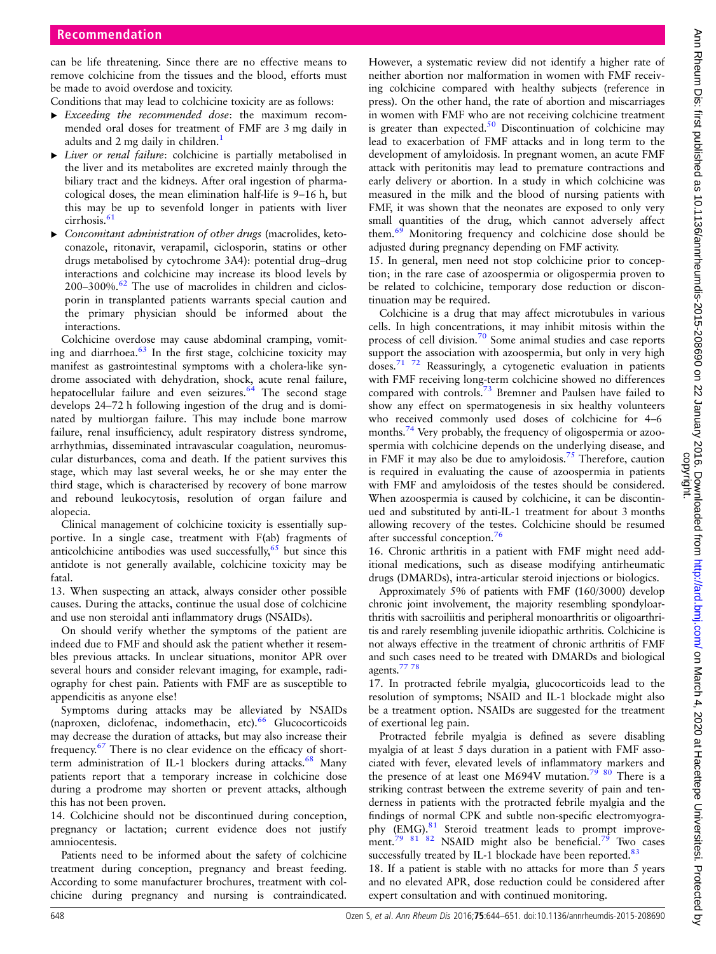can be life threatening. Since there are no effective means to remove colchicine from the tissues and the blood, efforts must be made to avoid overdose and toxicity.

Conditions that may lead to colchicine toxicity are as follows:

- ▸ Exceeding the recommended dose: the maximum recommended oral doses for treatment of FMF are 3 mg daily in adults and 2 mg daily in children. $<sup>1</sup>$ </sup>
- ▸ Liver or renal failure: colchicine is partially metabolised in the liver and its metabolites are excreted mainly through the biliary tract and the kidneys. After oral ingestion of pharmacological doses, the mean elimination half-life is 9–16 h, but this may be up to sevenfold longer in patients with liver cirrhosis.<sup>[61](#page-7-0)</sup>
- ▸ Concomitant administration of other drugs (macrolides, ketoconazole, ritonavir, verapamil, ciclosporin, statins or other drugs metabolised by cytochrome 3A4): potential drug–drug interactions and colchicine may increase its blood levels by  $200-300\%$ .<sup>[62](#page-7-0)</sup> The use of macrolides in children and ciclosporin in transplanted patients warrants special caution and the primary physician should be informed about the interactions.

Colchicine overdose may cause abdominal cramping, vomiting and diarrhoea. $63$  In the first stage, colchicine toxicity may manifest as gastrointestinal symptoms with a cholera-like syndrome associated with dehydration, shock, acute renal failure, hepatocellular failure and even seizures.<sup>[64](#page-7-0)</sup> The second stage develops 24–72 h following ingestion of the drug and is dominated by multiorgan failure. This may include bone marrow failure, renal insufficiency, adult respiratory distress syndrome, arrhythmias, disseminated intravascular coagulation, neuromuscular disturbances, coma and death. If the patient survives this stage, which may last several weeks, he or she may enter the third stage, which is characterised by recovery of bone marrow and rebound leukocytosis, resolution of organ failure and alopecia.

Clinical management of colchicine toxicity is essentially supportive. In a single case, treatment with F(ab) fragments of anticolchicine antibodies was used successfully, $65$  but since this antidote is not generally available, colchicine toxicity may be fatal.

13. When suspecting an attack, always consider other possible causes. During the attacks, continue the usual dose of colchicine and use non steroidal anti inflammatory drugs (NSAIDs).

On should verify whether the symptoms of the patient are indeed due to FMF and should ask the patient whether it resembles previous attacks. In unclear situations, monitor APR over several hours and consider relevant imaging, for example, radiography for chest pain. Patients with FMF are as susceptible to appendicitis as anyone else!

Symptoms during attacks may be alleviated by NSAIDs (naproxen, diclofenac, indomethacin, etc).<sup>[66](#page-7-0)</sup> Glucocorticoids may decrease the duration of attacks, but may also increase their frequency.[67](#page-7-0) There is no clear evidence on the efficacy of short-term administration of IL-1 blockers during attacks.<sup>[68](#page-7-0)</sup> Many patients report that a temporary increase in colchicine dose during a prodrome may shorten or prevent attacks, although this has not been proven.

14. Colchicine should not be discontinued during conception, pregnancy or lactation; current evidence does not justify amniocentesis.

Patients need to be informed about the safety of colchicine treatment during conception, pregnancy and breast feeding. According to some manufacturer brochures, treatment with colchicine during pregnancy and nursing is contraindicated.

However, a systematic review did not identify a higher rate of neither abortion nor malformation in women with FMF receiving colchicine compared with healthy subjects (reference in press). On the other hand, the rate of abortion and miscarriages in women with FMF who are not receiving colchicine treatment is greater than expected. $50$  Discontinuation of colchicine may lead to exacerbation of FMF attacks and in long term to the development of amyloidosis. In pregnant women, an acute FMF attack with peritonitis may lead to premature contractions and early delivery or abortion. In a study in which colchicine was measured in the milk and the blood of nursing patients with FMF, it was shown that the neonates are exposed to only very small quantities of the drug, which cannot adversely affect them.[69](#page-7-0) Monitoring frequency and colchicine dose should be adjusted during pregnancy depending on FMF activity.

15. In general, men need not stop colchicine prior to conception; in the rare case of azoospermia or oligospermia proven to be related to colchicine, temporary dose reduction or discontinuation may be required.

Colchicine is a drug that may affect microtubules in various cells. In high concentrations, it may inhibit mitosis within the process of cell division.<sup>[70](#page-7-0)</sup> Some animal studies and case reports support the association with azoospermia, but only in very high doses.<sup>[71 72](#page-7-0)</sup> Reassuringly, a cytogenetic evaluation in patients with FMF receiving long-term colchicine showed no differences compared with controls[.73](#page-7-0) Bremner and Paulsen have failed to show any effect on spermatogenesis in six healthy volunteers who received commonly used doses of colchicine for 4–6 months.<sup>[74](#page-7-0)</sup> Very probably, the frequency of oligospermia or azoospermia with colchicine depends on the underlying disease, and in FMF it may also be due to amyloidosis.<sup>[75](#page-7-0)</sup> Therefore, caution is required in evaluating the cause of azoospermia in patients with FMF and amyloidosis of the testes should be considered. When azoospermia is caused by colchicine, it can be discontinued and substituted by anti-IL-1 treatment for about 3 months allowing recovery of the testes. Colchicine should be resumed after successful conception[.76](#page-7-0)

16. Chronic arthritis in a patient with FMF might need additional medications, such as disease modifying antirheumatic drugs (DMARDs), intra-articular steroid injections or biologics.

Approximately 5% of patients with FMF (160/3000) develop chronic joint involvement, the majority resembling spondyloarthritis with sacroiliitis and peripheral monoarthritis or oligoarthritis and rarely resembling juvenile idiopathic arthritis. Colchicine is not always effective in the treatment of chronic arthritis of FMF and such cases need to be treated with DMARDs and biological agents[.77 78](#page-7-0)

17. In protracted febrile myalgia, glucocorticoids lead to the resolution of symptoms; NSAID and IL-1 blockade might also be a treatment option. NSAIDs are suggested for the treatment of exertional leg pain.

Protracted febrile myalgia is defined as severe disabling myalgia of at least 5 days duration in a patient with FMF associated with fever, elevated levels of inflammatory markers and the presence of at least one M694V mutation.<sup>[79 80](#page-7-0)</sup> There is a striking contrast between the extreme severity of pain and tenderness in patients with the protracted febrile myalgia and the findings of normal CPK and subtle non-specific electromyogra-phy (EMG).<sup>[81](#page-7-0)</sup> Steroid treatment leads to prompt improve-ment.<sup>[79 81 82](#page-7-0)</sup> NSAID might also be beneficial.<sup>[79](#page-7-0)</sup> Two cases successfully treated by IL-1 blockade have been reported.<sup>83</sup>

18. If a patient is stable with no attacks for more than 5 years and no elevated APR, dose reduction could be considered after expert consultation and with continued monitoring.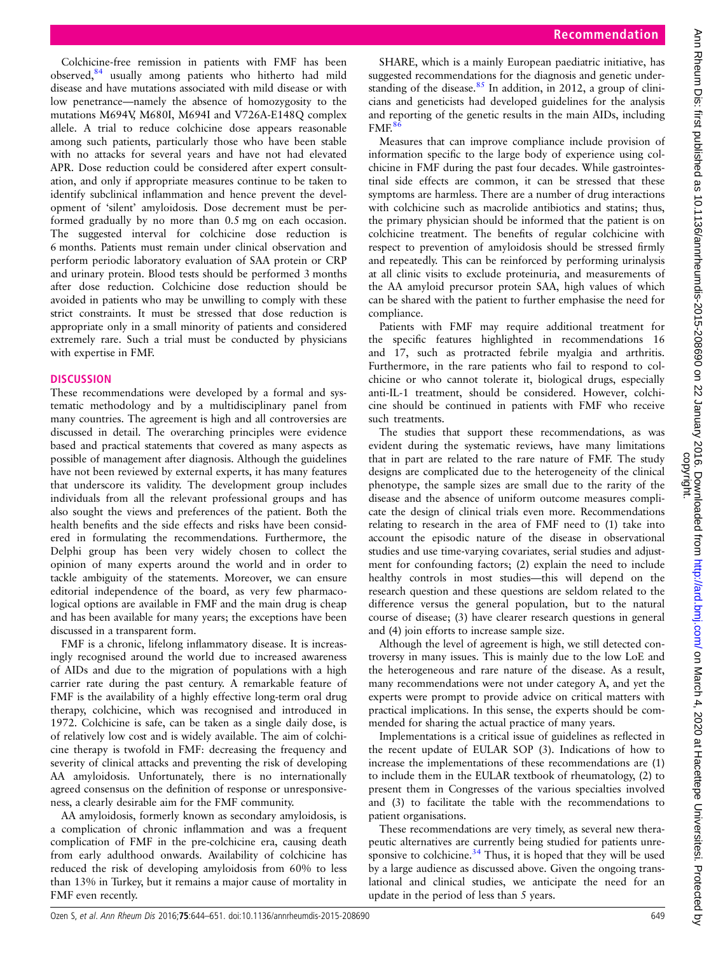Colchicine-free remission in patients with FMF has been observed[,84](#page-7-0) usually among patients who hitherto had mild disease and have mutations associated with mild disease or with low penetrance—namely the absence of homozygosity to the mutations M694V, M680I, M694I and V726A-E148Q complex allele. A trial to reduce colchicine dose appears reasonable among such patients, particularly those who have been stable with no attacks for several years and have not had elevated APR. Dose reduction could be considered after expert consultation, and only if appropriate measures continue to be taken to identify subclinical inflammation and hence prevent the development of 'silent' amyloidosis. Dose decrement must be performed gradually by no more than 0.5 mg on each occasion. The suggested interval for colchicine dose reduction is 6 months. Patients must remain under clinical observation and perform periodic laboratory evaluation of SAA protein or CRP and urinary protein. Blood tests should be performed 3 months after dose reduction. Colchicine dose reduction should be avoided in patients who may be unwilling to comply with these strict constraints. It must be stressed that dose reduction is appropriate only in a small minority of patients and considered extremely rare. Such a trial must be conducted by physicians with expertise in FMF.

## **DISCUSSION**

These recommendations were developed by a formal and systematic methodology and by a multidisciplinary panel from many countries. The agreement is high and all controversies are discussed in detail. The overarching principles were evidence based and practical statements that covered as many aspects as possible of management after diagnosis. Although the guidelines have not been reviewed by external experts, it has many features that underscore its validity. The development group includes individuals from all the relevant professional groups and has also sought the views and preferences of the patient. Both the health benefits and the side effects and risks have been considered in formulating the recommendations. Furthermore, the Delphi group has been very widely chosen to collect the opinion of many experts around the world and in order to tackle ambiguity of the statements. Moreover, we can ensure editorial independence of the board, as very few pharmacological options are available in FMF and the main drug is cheap and has been available for many years; the exceptions have been discussed in a transparent form.

FMF is a chronic, lifelong inflammatory disease. It is increasingly recognised around the world due to increased awareness of AIDs and due to the migration of populations with a high carrier rate during the past century. A remarkable feature of FMF is the availability of a highly effective long-term oral drug therapy, colchicine, which was recognised and introduced in 1972. Colchicine is safe, can be taken as a single daily dose, is of relatively low cost and is widely available. The aim of colchicine therapy is twofold in FMF: decreasing the frequency and severity of clinical attacks and preventing the risk of developing AA amyloidosis. Unfortunately, there is no internationally agreed consensus on the definition of response or unresponsiveness, a clearly desirable aim for the FMF community.

AA amyloidosis, formerly known as secondary amyloidosis, is a complication of chronic inflammation and was a frequent complication of FMF in the pre-colchicine era, causing death from early adulthood onwards. Availability of colchicine has reduced the risk of developing amyloidosis from 60% to less than 13% in Turkey, but it remains a major cause of mortality in FMF even recently.

SHARE, which is a mainly European paediatric initiative, has suggested recommendations for the diagnosis and genetic understanding of the disease. $85$  In addition, in 2012, a group of clinicians and geneticists had developed guidelines for the analysis and reporting of the genetic results in the main AIDs, including  $FMF<sup>8</sup>$ 

Measures that can improve compliance include provision of information specific to the large body of experience using colchicine in FMF during the past four decades. While gastrointestinal side effects are common, it can be stressed that these symptoms are harmless. There are a number of drug interactions with colchicine such as macrolide antibiotics and statins; thus, the primary physician should be informed that the patient is on colchicine treatment. The benefits of regular colchicine with respect to prevention of amyloidosis should be stressed firmly and repeatedly. This can be reinforced by performing urinalysis at all clinic visits to exclude proteinuria, and measurements of the AA amyloid precursor protein SAA, high values of which can be shared with the patient to further emphasise the need for compliance.

Patients with FMF may require additional treatment for the specific features highlighted in recommendations 16 and 17, such as protracted febrile myalgia and arthritis. Furthermore, in the rare patients who fail to respond to colchicine or who cannot tolerate it, biological drugs, especially anti-IL-1 treatment, should be considered. However, colchicine should be continued in patients with FMF who receive such treatments.

The studies that support these recommendations, as was evident during the systematic reviews, have many limitations that in part are related to the rare nature of FMF. The study designs are complicated due to the heterogeneity of the clinical phenotype, the sample sizes are small due to the rarity of the disease and the absence of uniform outcome measures complicate the design of clinical trials even more. Recommendations relating to research in the area of FMF need to (1) take into account the episodic nature of the disease in observational studies and use time-varying covariates, serial studies and adjustment for confounding factors; (2) explain the need to include healthy controls in most studies—this will depend on the research question and these questions are seldom related to the difference versus the general population, but to the natural course of disease; (3) have clearer research questions in general and (4) join efforts to increase sample size.

Although the level of agreement is high, we still detected controversy in many issues. This is mainly due to the low LoE and the heterogeneous and rare nature of the disease. As a result, many recommendations were not under category A, and yet the experts were prompt to provide advice on critical matters with practical implications. In this sense, the experts should be commended for sharing the actual practice of many years.

Implementations is a critical issue of guidelines as reflected in the recent update of EULAR SOP (3). Indications of how to increase the implementations of these recommendations are (1) to include them in the EULAR textbook of rheumatology, (2) to present them in Congresses of the various specialties involved and (3) to facilitate the table with the recommendations to patient organisations.

These recommendations are very timely, as several new therapeutic alternatives are currently being studied for patients unresponsive to colchicine. $34$  Thus, it is hoped that they will be used by a large audience as discussed above. Given the ongoing translational and clinical studies, we anticipate the need for an update in the period of less than 5 years.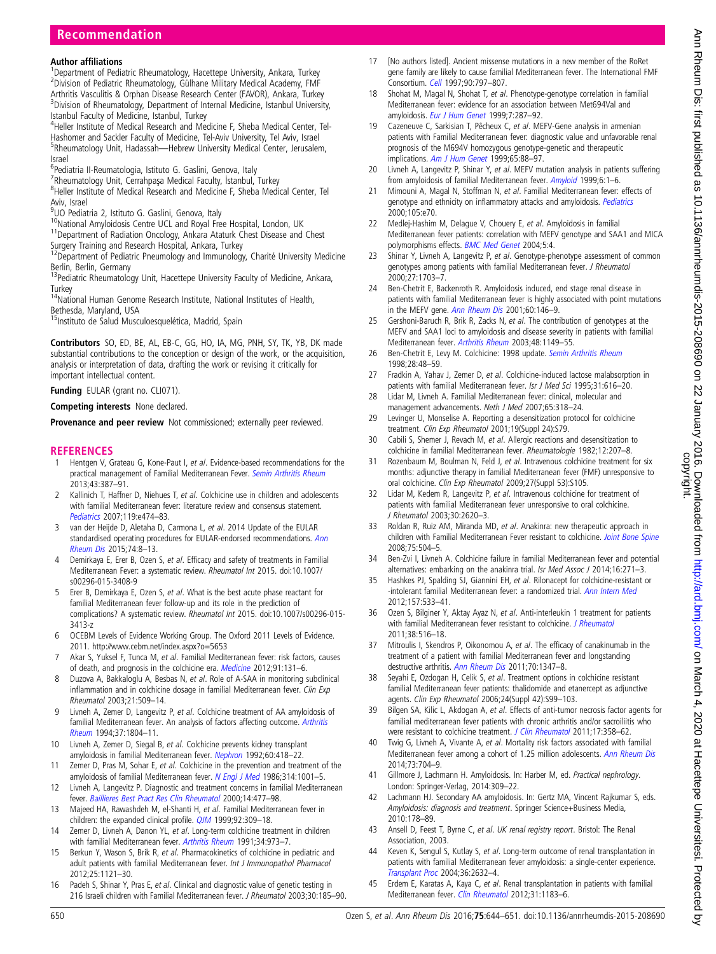## <span id="page-6-0"></span>Recommendation

## Author affiliations <sup>1</sup>

<sup>1</sup>Department of Pediatric Rheumatology, Hacettepe University, Ankara, Turkey <sup>2</sup> Division of Pediatric Rheumatology, Gülhane Military Medical Academy, FMF Arthritis Vasculitis & Orphan Disease Research Center (FAVOR), Ankara, Turkey 3 Division of Rheumatology, Department of Internal Medicine, Istanbul University, Istanbul Faculty of Medicine, Istanbul, Turkey

4 Heller Institute of Medical Research and Medicine F, Sheba Medical Center, Tel-Hashomer and Sackler Faculty of Medicine, Tel-Aviv University, Tel Aviv, Israel <sup>5</sup>Rheumatology Unit, Hadassah-Hebrew University Medical Center, Jerusalem, Israel

<sup>6</sup>Pediatria II-Reumatologia, Istituto G. Gaslini, Genova, Italy

<sup>7</sup> Rheumatology Unit, Cerrahpaşa Medical Faculty, İstanbul, Turkey<br><sup>8</sup> Heller Institute of Medical Research and Medicine E. Sheba Medi

<sup>8</sup>Heller Institute of Medical Research and Medicine F, Sheba Medical Center, Tel Aviv, Israel

- <sup>9</sup>UO Pediatria 2, Istituto G. Gaslini, Genova, Italy
- 

 $10$ National Amyloidosis Centre UCL and Royal Free Hospital, London, UK  $11$ Department of Radiation Oncology, Ankara Ataturk Chest Disease and Chest

Surgery Training and Research Hospital, Ankara, Turkey

<sup>12</sup>Department of Pediatric Pneumology and Immunology, Charité University Medicine Berlin, Berlin, Germany

<sup>13</sup>Pediatric Rheumatology Unit, Hacettepe University Faculty of Medicine, Ankara, **Turkey** 

<sup>14</sup>National Human Genome Research Institute, National Institutes of Health, Bethesda, Maryland, USA

<sup>15</sup>Instituto de Salud Musculoesquelética, Madrid, Spain

Contributors SO, ED, BE, AL, EB-C, GG, HO, IA, MG, PNH, SY, TK, YB, DK made substantial contributions to the conception or design of the work, or the acquisition, analysis or interpretation of data, drafting the work or revising it critically for important intellectual content.

Funding EULAR (grant no. CLI071).

#### Competing interests None declared.

Provenance and peer review Not commissioned; externally peer reviewed.

#### **REFERENCES**

- 1 Hentgen V, Grateau G, Kone-Paut I, et al. Evidence-based recommendations for the practical management of Familial Mediterranean Fever. [Semin Arthritis Rheum](http://dx.doi.org/10.1016/j.semarthrit.2013.04.011) 2013;43:387–91.
- 2 Kallinich T, Haffner D, Niehues T, et al. Colchicine use in children and adolescents with familial Mediterranean fever: literature review and consensus statement. [Pediatrics](http://dx.doi.org/10.1542/peds.2006-1434) 2007;119:e474–83.
- 3 van der Heijde D, Aletaha D, Carmona L, et al. 2014 Update of the EULAR standardised operating procedures for EULAR-endorsed recommendations. [Ann](http://dx.doi.org/10.1136/annrheumdis-2014-206350) [Rheum Dis](http://dx.doi.org/10.1136/annrheumdis-2014-206350) 2015;74:8–13.
- 4 Demirkaya E, Erer B, Ozen S, et al. Efficacy and safety of treatments in Familial Mediterranean Fever: a systematic review. Rheumatol Int 2015. [doi:10.1007/](http://dx.doi.org/10.1007/s00296-015-3408-9) [s00296-015-3408-9](http://dx.doi.org/10.1007/s00296-015-3408-9)
- 5 Erer B, Demirkaya E, Ozen S, et al. What is the best acute phase reactant for familial Mediterranean fever follow-up and its role in the prediction of complications? A systematic review. Rheumatol Int 2015. [doi:10.1007/s00296-015-](http://dx.doi.org/10.1007/s00296-015-3413-z) [3413-z](http://dx.doi.org/10.1007/s00296-015-3413-z)
- 6 OCEBM Levels of Evidence Working Group. The Oxford 2011 Levels of Evidence. 2011.<http://www.cebm.net/index.aspx?o=5653>
- 7 Akar S, Yuksel F, Tunca M, et al. Familial Mediterranean fever: risk factors, causes of death, and prognosis in the colchicine era. [Medicine](http://dx.doi.org/10.1097/MD.0b013e3182561a45) 2012;91:131-6.
- 8 Duzova A, Bakkaloglu A, Besbas N, et al. Role of A-SAA in monitoring subclinical inflammation and in colchicine dosage in familial Mediterranean fever. Clin Exp Rheumatol 2003;21:509–14.
- 9 Livneh A, Zemer D, Langevitz P, et al. Colchicine treatment of AA amyloidosis of familial Mediterranean fever. An analysis of factors affecting outcome. [Arthritis](http://dx.doi.org/10.1002/art.1780371215) [Rheum](http://dx.doi.org/10.1002/art.1780371215) 1994;37:1804–11.
- 10 Livneh A, Zemer D, Siegal B, et al. Colchicine prevents kidney transplant amyloidosis in familial Mediterranean fever. [Nephron](http://dx.doi.org/10.1159/000186801) 1992;60:418-22.
- 11 Zemer D, Pras M, Sohar E, et al. Colchicine in the prevention and treatment of the amyloidosis of familial Mediterranean fever. [N Engl J Med](http://dx.doi.org/10.1056/NEJM198604173141601) 1986;314:1001-5.
- 12 Livneh A, Langevitz P. Diagnostic and treatment concerns in familial Mediterranean fever. [Baillieres Best Pract Res Clin Rheumatol](http://dx.doi.org/10.1053/berh.2000.0089) 2000;14:477–98.
- 13 Majeed HA, Rawashdeh M, el-Shanti H, et al. Familial Mediterranean fever in children: the expanded clinical profile. [QJM](http://dx.doi.org/10.1093/qjmed/92.6.309) 1999;92:309-18.
- 14 Zemer D, Livneh A, Danon YL, et al. Long-term colchicine treatment in children with familial Mediterranean fever. [Arthritis Rheum](http://dx.doi.org/10.1002/art.1780340806) 1991;34:973-7.
- 15 Berkun Y, Wason S, Brik R, et al. Pharmacokinetics of colchicine in pediatric and adult patients with familial Mediterranean fever. Int J Immunopathol Pharmacol 2012;25:1121–30.
- 16 Padeh S, Shinar Y, Pras E, et al. Clinical and diagnostic value of genetic testing in 216 Israeli children with Familial Mediterranean fever. J Rheumatol 2003;30:185–90.
- 17 [No authors listed]. Ancient missense mutations in a new member of the RoRet gene family are likely to cause familial Mediterranean fever. The International FMF Consortium. [Cell](http://dx.doi.org/10.1016/S0092-8674(00)80539-5) 1997;90:797–807.
- 18 Shohat M, Magal N, Shohat T, et al. Phenotype-genotype correlation in familial Mediterranean fever: evidence for an association between Met694Val and amyloidosis. [Eur J Hum Genet](http://dx.doi.org/10.1038/sj.ejhg.5200303) 1999:7:287-92.
- 19 Cazeneuve C, Sarkisian T, Pêcheux C, et al. MEFV-Gene analysis in armenian patients with Familial Mediterranean fever: diagnostic value and unfavorable renal prognosis of the M694V homozygous genotype-genetic and therapeutic implications. [Am J Hum Genet](http://dx.doi.org/10.1086/302459) 1999;65:88-97.
- 20 Livneh A, Langevitz P, Shinar Y, et al. MEFV mutation analysis in patients suffering from amyloidosis of familial Mediterranean fever. [Amyloid](http://dx.doi.org/10.3109/13506129908993281) 1999;6:1-6.
- 21 Mimouni A, Magal N, Stoffman N, et al. Familial Mediterranean fever: effects of genotype and ethnicity on inflammatory attacks and amyloidosis. [Pediatrics](http://dx.doi.org/10.1542/peds.105.5.e70) 2000;105:e70.
- 22 Medlej-Hashim M, Delague V, Chouery E, et al. Amyloidosis in familial Mediterranean fever patients: correlation with MEFV genotype and SAA1 and MICA polymorphisms effects. [BMC Med Genet](http://dx.doi.org/10.1186/1471-2350-5-4) 2004;5:4.
- 23 Shinar Y, Livneh A, Langevitz P, et al. Genotype-phenotype assessment of common genotypes among patients with familial Mediterranean fever. J Rheumatol 2000;27:1703–7.
- 24 Ben-Chetrit E, Backenroth R. Amyloidosis induced, end stage renal disease in patients with familial Mediterranean fever is highly associated with point mutations in the MEFV gene. [Ann Rheum Dis](http://dx.doi.org/10.1136/ard.60.2.146) 2001;60:146-9.
- 25 Gershoni-Baruch R, Brik R, Zacks N, et al. The contribution of genotypes at the MEFV and SAA1 loci to amyloidosis and disease severity in patients with familial Mediterranean fever. [Arthritis Rheum](http://dx.doi.org/10.1002/art.10944) 2003;48:1149–55.
- 26 Ben-Chetrit E, Levy M. Colchicine: 1998 update. [Semin Arthritis Rheum](http://dx.doi.org/10.1016/S0049-0172(98)80028-0) 1998;28:48–59.
- 27 Fradkin A, Yahav J, Zemer D, et al. Colchicine-induced lactose malabsorption in patients with familial Mediterranean fever. Isr J Med Sci 1995;31:616–20.
- 28 Lidar M, Livneh A. Familial Mediterranean fever: clinical, molecular and management advancements. Neth J Med 2007;65:318–24.
- 29 Levinger U, Monselise A. Reporting a desensitization protocol for colchicine treatment. Clin Exp Rheumatol 2001;19(Suppl 24):S79.
- 30 Cabili S, Shemer J, Revach M, et al. Allergic reactions and desensitization to colchicine in familial Mediterranean fever. Rheumatologie 1982;12:207–8.
- 31 Rozenbaum M, Boulman N, Feld J, et al. Intravenous colchicine treatment for six months: adjunctive therapy in familial Mediterranean fever (FMF) unresponsive to oral colchicine. Clin Exp Rheumatol 2009;27(Suppl 53):S105.
- 32 Lidar M, Kedem R, Langevitz P, et al. Intravenous colchicine for treatment of patients with familial Mediterranean fever unresponsive to oral colchicine. J Rheumatol 2003;30:2620–3.
- 33 Roldan R, Ruiz AM, Miranda MD, et al. Anakinra: new therapeutic approach in children with Familial Mediterranean Fever resistant to colchicine. [Joint Bone Spine](http://dx.doi.org/10.1016/j.jbspin.2008.04.001) 2008;75:504–5.
- 34 Ben-Zvi I, Livneh A. Colchicine failure in familial Mediterranean fever and potential alternatives: embarking on the anakinra trial. Isr Med Assoc J 2014;16:271–3.
- 35 Hashkes PJ, Spalding SJ, Giannini EH, et al. Rilonacept for colchicine-resistant or -intolerant familial Mediterranean fever: a randomized trial. [Ann Intern Med](http://dx.doi.org/10.7326/0003-4819-157-8-201210160-00003) 2012;157:533–41.
- 36 Ozen S, Bilginer Y, Aktay Ayaz N, et al. Anti-interleukin 1 treatment for patients with familial Mediterranean fever resistant to colchicine. *[J Rheumatol](http://dx.doi.org/10.3899/jrheum.100718)* 2011;38:516–18.
- 37 Mitroulis I, Skendros P, Oikonomou A, et al. The efficacy of canakinumab in the treatment of a patient with familial Mediterranean fever and longstanding destructive arthritis. [Ann Rheum Dis](http://dx.doi.org/10.1136/ard.2010.146878) 2011;70:1347-8.
- 38 Seyahi E, Ozdogan H, Celik S, et al. Treatment options in colchicine resistant familial Mediterranean fever patients: thalidomide and etanercept as adjunctive agents. Clin Exp Rheumatol 2006;24(Suppl 42):S99–103.
- 39 Bilgen SA, Kilic L, Akdogan A, et al. Effects of anti-tumor necrosis factor agents for familial mediterranean fever patients with chronic arthritis and/or sacroiliitis who were resistant to colchicine treatment. [J Clin Rheumatol](http://dx.doi.org/10.1097/RHU.0b013e31823682f5) 2011;17:358-62.
- 40 Twig G, Livneh A, Vivante A, et al. Mortality risk factors associated with familial Mediterranean fever among a cohort of 1.25 million adolescents. Ann [Rheum Dis](http://dx.doi.org/10.1136/annrheumdis-2012-202932) 2014;73:704–9.
- 41 Gillmore J, Lachmann H. Amyloidosis. In: Harber M, ed. Practical nephrology. London: Springer-Verlag, 2014:309–22.
- 42 Lachmann HJ. Secondary AA amyloidosis. In: Gertz MA, Vincent Rajkumar S, eds. Amyloidosis: diagnosis and treatment. Springer Science+Business Media, 2010:178–89.
- 43 Ansell D, Feest T, Byrne C, et al. UK renal registry report. Bristol: The Renal Association, 2003.
- 44 Keven K, Sengul S, Kutlay S, et al. Long-term outcome of renal transplantation in patients with familial Mediterranean fever amyloidosis: a single-center experience. [Transplant Proc](http://dx.doi.org/10.1016/j.transproceed.2004.09.065) 2004;36:2632–4.
- 45 Erdem E, Karatas A, Kaya C, et al. Renal transplantation in patients with familial Mediterranean fever. [Clin Rheumatol](http://dx.doi.org/10.1007/s10067-012-1992-6) 2012;31:1183-6.